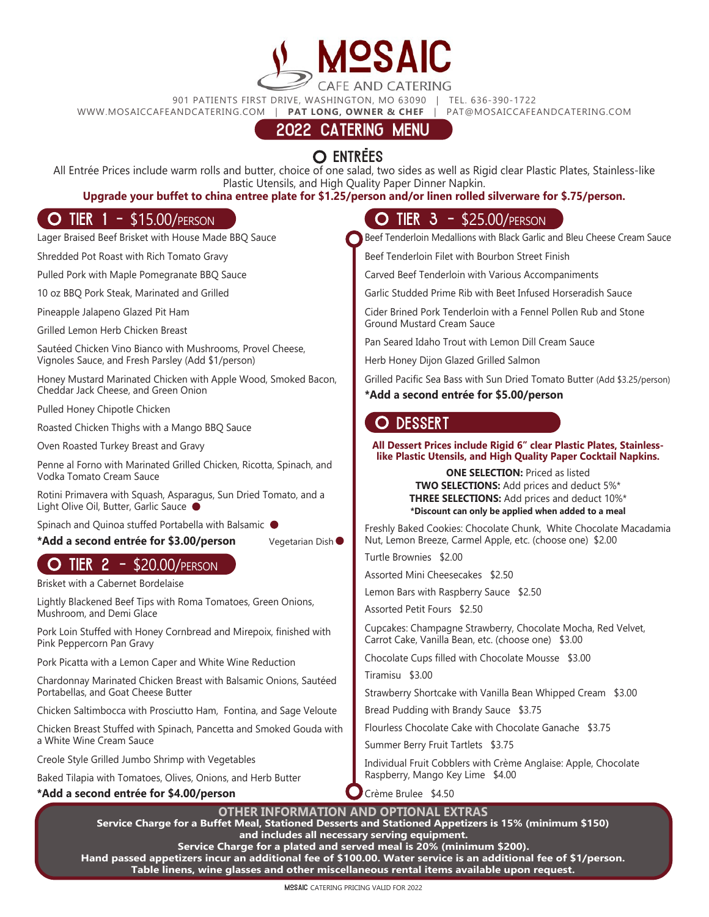901 PATIENTS FIRST DRIVE, WASHINGTON, MO 63090 | TEL. 636-390-1722

WWW.MOSAICCAFEANDCATERING.COM | **PAT LONG, OWNER & CHEF** | PAT@MOSAICCAFEANDCATERING.COM

Vegetarian Dish

# 2022 CATERING MENU

# O ENTREES

All Entrée Prices include warm rolls and butter, choice of one salad, two sides as well as Rigid clear Plastic Plates, Stainless-like Plastic Utensils, and High Quality Paper Dinner Napkin.

### **Upgrade your buffet to china entree plate for \$1.25/person and/or linen rolled silverware for \$.75/person.**

Lager Braised Beef Brisket with House Made BBQ Sauce

Shredded Pot Roast with Rich Tomato Gravy

Pulled Pork with Maple Pomegranate BBQ Sauce

10 oz BBQ Pork Steak, Marinated and Grilled

Pineapple Jalapeno Glazed Pit Ham

Grilled Lemon Herb Chicken Breast

Sautéed Chicken Vino Bianco with Mushrooms, Provel Cheese, Vignoles Sauce, and Fresh Parsley (Add \$1/person)

Honey Mustard Marinated Chicken with Apple Wood, Smoked Bacon, Cheddar Jack Cheese, and Green Onion

Pulled Honey Chipotle Chicken

Roasted Chicken Thighs with a Mango BBQ Sauce

Oven Roasted Turkey Breast and Gravy

Penne al Forno with Marinated Grilled Chicken, Ricotta, Spinach, and Vodka Tomato Cream Sauce

Rotini Primavera with Squash, Asparagus, Sun Dried Tomato, and a Light Olive Oil, Butter, Garlic Sauce

Spinach and Quinoa stuffed Portabella with Balsamic (

**\*Add a second entrée for \$3.00/person**

# **O TIER 2 - \$20.00/PERSON**

Brisket with a Cabernet Bordelaise

Lightly Blackened Beef Tips with Roma Tomatoes, Green Onions, Mushroom, and Demi Glace

Pork Loin Stuffed with Honey Cornbread and Mirepoix, finished with Pink Peppercorn Pan Gravy

Pork Picatta with a Lemon Caper and White Wine Reduction

Chardonnay Marinated Chicken Breast with Balsamic Onions, Sautéed Portabellas, and Goat Cheese Butter

Chicken Saltimbocca with Prosciutto Ham, Fontina, and Sage Veloute

Chicken Breast Stuffed with Spinach, Pancetta and Smoked Gouda with a White Wine Cream Sauce

Creole Style Grilled Jumbo Shrimp with Vegetables

Baked Tilapia with Tomatoes, Olives, Onions, and Herb Butter

#### **\*Add a second entrée for \$4.00/person**

### **O TIER 1 - \$15.00/person** TIER 3 - \$25.00/person

Beef Tenderloin Medallions with Black Garlic and Bleu Cheese Cream Sauce

Beef Tenderloin Filet with Bourbon Street Finish

Carved Beef Tenderloin with Various Accompaniments

Garlic Studded Prime Rib with Beet Infused Horseradish Sauce

Cider Brined Pork Tenderloin with a Fennel Pollen Rub and Stone Ground Mustard Cream Sauce

Pan Seared Idaho Trout with Lemon Dill Cream Sauce

Herb Honey Dijon Glazed Grilled Salmon

Grilled Pacific Sea Bass with Sun Dried Tomato Butter (Add \$3.25/person) **\*Add a second entrée for \$5.00/person**

### O DESSERT

#### **All Dessert Prices include Rigid 6" clear Plastic Plates, Stainlesslike Plastic Utensils, and High Quality Paper Cocktail Napkins.**

**ONE SELECTION:** Priced as listed **TWO SELECTIONS:** Add prices and deduct 5%\* **THREE SELECTIONS:** Add prices and deduct 10%\* **\*Discount can only be applied when added to a meal**

Freshly Baked Cookies: Chocolate Chunk, White Chocolate Macadamia Nut, Lemon Breeze, Carmel Apple, etc. (choose one) \$2.00

Turtle Brownies \$2.00

Assorted Mini Cheesecakes \$2.50

Lemon Bars with Raspberry Sauce \$2.50

Assorted Petit Fours \$2.50

Cupcakes: Champagne Strawberry, Chocolate Mocha, Red Velvet, Carrot Cake, Vanilla Bean, etc. (choose one) \$3.00

Chocolate Cups filled with Chocolate Mousse \$3.00

Tiramisu \$3.00

Strawberry Shortcake with Vanilla Bean Whipped Cream \$3.00

Bread Pudding with Brandy Sauce \$3.75

Flourless Chocolate Cake with Chocolate Ganache \$3.75

Summer Berry Fruit Tartlets \$3.75

Individual Fruit Cobblers with Crème Anglaise: Apple, Chocolate Raspberry, Mango Key Lime \$4.00

Crème Brulee \$4.50

**OTHER INFORMATION AND OPTIONAL EXTRAS** 

**Service Charge for a Buffet Meal, Stationed Desserts and Stationed Appetizers is 15% (minimum \$150) and includes all necessary serving equipment.** 

**Service Charge for a plated and served meal is 20% (minimum \$200).** 

**Hand passed appetizers incur an additional fee of \$100.00. Water service is an additional fee of \$1/person. Table linens, wine glasses and other miscellaneous rental items available upon request.**